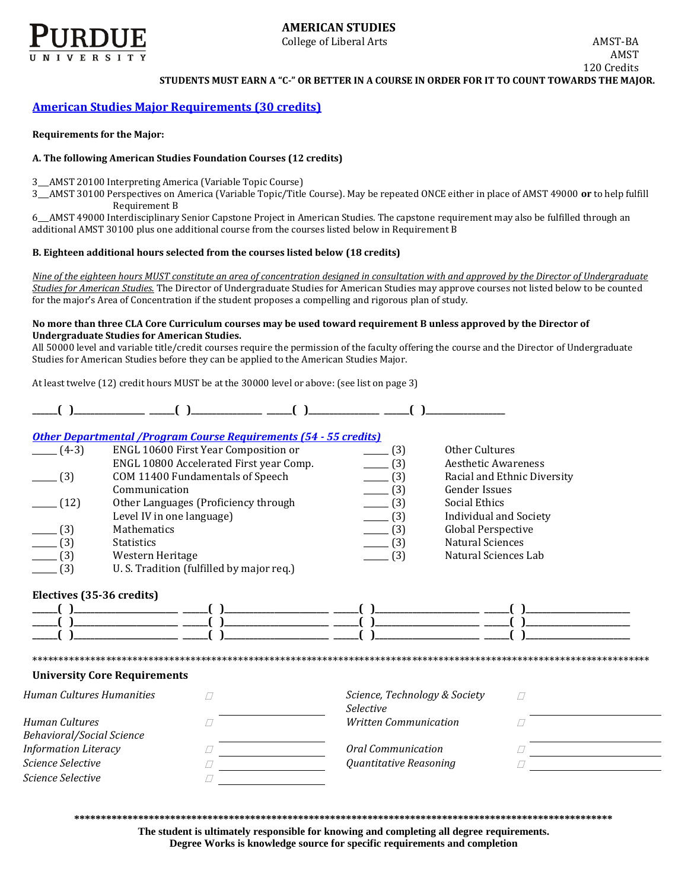

## **AMERICAN STUDIES**

College of Liberal Arts AMST-BA

AMST 120 Credits

**STUDENTS MUST EARN A "C-" OR BETTER IN A COURSE IN ORDER FOR IT TO COUNT TOWARDS THE MAJOR.** 

## **[American Studies Major Requirements \(30](http://www.cla.purdue.edu/academics/programs/pos/AMST201110.pdf) credits)**

#### **Requirements for the Major:**

## **A. The following American Studies Foundation Courses (12 credits)**

3\_\_\_AMST 20100 Interpreting America (Variable Topic Course)

3\_\_\_AMST 30100 Perspectives on America (Variable Topic/Title Course). May be repeated ONCE either in place of AMST 49000 **or** to help fulfill Requirement B

6\_\_\_AMST 49000 Interdisciplinary Senior Capstone Project in American Studies. The capstone requirement may also be fulfilled through an additional AMST 30100 plus one additional course from the courses listed below in Requirement B

### **B. Eighteen additional hours selected from the courses listed below (18 credits)**

*Nine of the eighteen hours MUST constitute an area of concentration designed in consultation with and approved by the Director of Undergraduate Studies for American Studies.* The Director of Undergraduate Studies for American Studies may approve courses not listed below to be counted for the major's Area of Concentration if the student proposes a compelling and rigorous plan of study.

#### **No more than three CLA Core Curriculum courses may be used toward requirement B unless approved by the Director of Undergraduate Studies for American Studies.**

All 50000 level and variable title/credit courses require the permission of the faculty offering the course and the Director of Undergraduate Studies for American Studies before they can be applied to the American Studies Major.

At least twelve (12) credit hours MUST be at the 30000 level or above: (see list on page 3)

| $(4-3)$ | ENGL 10600 First Year Composition or      | (3) | Other Cultures              |
|---------|-------------------------------------------|-----|-----------------------------|
|         | ENGL 10800 Accelerated First year Comp.   | (3) | Aesthetic Awareness         |
| (3)     | COM 11400 Fundamentals of Speech          | (3) | Racial and Ethnic Diversity |
|         | Communication                             | (3) | <b>Gender Issues</b>        |
| (12)    | Other Languages (Proficiency through      | (3) | Social Ethics               |
|         | Level IV in one language)                 | (3) | Individual and Society      |
| (3)     | <b>Mathematics</b>                        | (3) | <b>Global Perspective</b>   |
| (3)     | <b>Statistics</b>                         | (3) | Natural Sciences            |
| (3)     | Western Heritage                          | (3) | Natural Sciences Lab        |
| (3)     | U. S. Tradition (fulfilled by major req.) |     |                             |
|         |                                           |     |                             |
|         | Electives (35-36 credits)                 |     |                             |
|         |                                           |     |                             |
|         |                                           |     |                             |
|         |                                           |     |                             |

**University Core Requirements**

| Human Cultures Humanities        | Science, Technology & Society<br><i>Selective</i> |  |
|----------------------------------|---------------------------------------------------|--|
| Human Cultures                   | Written Communication                             |  |
| <b>Behavioral/Social Science</b> |                                                   |  |
| <b>Information Literacy</b>      | Oral Communication                                |  |
| Science Selective                | <i><b>Ouantitative Reasoning</b></i>              |  |
| Science Selective                |                                                   |  |

\*\*\*\*\*\*\*\*\*\*\*\*\*\*\*\*\*\*\*\*\*\*\*\*\*\*\*\*\*\*\*\*\*\*\*\*\*\*\*\*\*\*\*\*\*\*\*\*\*\*\*\*\*\*\*\*\*\*\*\*\*\*\*\*\*\*\*\*\*\*\*\*\*\*\*\*\*\*\*\*\*\*\*\*\*\*\*\*\*\*\*\*\*\*\*\*\*\*\*\*\*\*\*\*\*\*\*\*\*\*\*\*\*\*\*\*\*

**\*\*\*\*\*\*\*\*\*\*\*\*\*\*\*\*\*\*\*\*\*\*\*\*\*\*\*\*\*\*\*\*\*\*\*\*\*\*\*\*\*\*\*\*\*\*\*\*\*\*\*\*\*\*\*\*\*\*\*\*\*\*\*\*\*\*\*\*\*\*\*\*\*\*\*\*\*\*\*\*\*\*\*\*\*\*\*\*\*\*\*\*\*\*\*\*\*\*\*\*\***

**The student is ultimately responsible for knowing and completing all degree requirements. Degree Works is knowledge source for specific requirements and completion**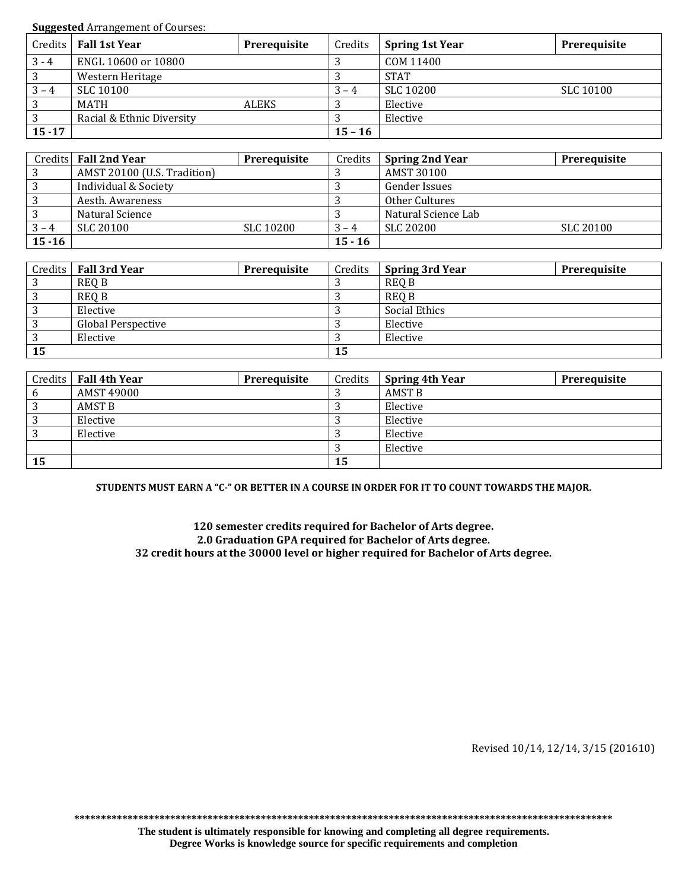**Suggested** Arrangement of Courses:

|           | Credits   Fall 1st Year   | Prerequisite | Credits   | <b>Spring 1st Year</b> | Prerequisite |
|-----------|---------------------------|--------------|-----------|------------------------|--------------|
| $3 - 4$   | ENGL 10600 or 10800       |              | ل         | COM 11400              |              |
| 3         | Western Heritage          |              |           | <b>STAT</b>            |              |
| $3 - 4$   | SLC 10100                 |              | $3 - 4$   | <b>SLC 10200</b>       | SLC 10100    |
| 3         | MATH                      | ALEKS        |           | Elective               |              |
| 3         | Racial & Ethnic Diversity |              |           | Elective               |              |
| $15 - 17$ |                           |              | $15 - 16$ |                        |              |

|           | Credits Fall 2nd Year       | Prerequisite | Credits   | <b>Spring 2nd Year</b> | <b>Prerequisite</b> |
|-----------|-----------------------------|--------------|-----------|------------------------|---------------------|
|           | AMST 20100 (U.S. Tradition) |              |           | AMST 30100             |                     |
|           | Individual & Society        |              |           | Gender Issues          |                     |
|           | Aesth. Awareness            |              |           | Other Cultures         |                     |
|           | Natural Science             |              |           | Natural Science Lab    |                     |
| $3 - 4$   | SLC 20100                   | SLC 10200    | $3 - 4$   | SLC 20200              | SLC 20100           |
| $15 - 16$ |                             |              | $15 - 16$ |                        |                     |

|                   | Credits   Fall 3rd Year   | Prerequisite | Credits | Spring 3rd Year | Prerequisite |
|-------------------|---------------------------|--------------|---------|-----------------|--------------|
| 2                 | <b>REQ B</b>              |              |         | <b>REQ B</b>    |              |
| 2                 | <b>REQ B</b>              |              |         | <b>REQ B</b>    |              |
| 2<br>ر            | Elective                  |              |         | Social Ethics   |              |
| 3                 | <b>Global Perspective</b> |              |         | Elective        |              |
| $\mathbf{D}$<br>ر | Elective                  |              |         | Elective        |              |
| 15                |                           |              | 15      |                 |              |

|    | Credits Fall 4th Year | <b>Prerequisite</b> | Credits | <b>Spring 4th Year</b> | <b>Prerequisite</b> |
|----|-----------------------|---------------------|---------|------------------------|---------------------|
| b  | AMST 49000            |                     |         | <b>AMST B</b>          |                     |
| ົ  | AMST B                |                     |         | Elective               |                     |
|    | Elective              |                     |         | Elective               |                     |
| റ  | Elective              |                     |         | Elective               |                     |
|    |                       |                     |         | Elective               |                     |
| 15 |                       |                     | 15      |                        |                     |

**STUDENTS MUST EARN A "C-" OR BETTER IN A COURSE IN ORDER FOR IT TO COUNT TOWARDS THE MAJOR.**

**120 semester credits required for Bachelor of Arts degree. 2.0 Graduation GPA required for Bachelor of Arts degree. 32 credit hours at the 30000 level or higher required for Bachelor of Arts degree.**

Revised 10/14, 12/14, 3/15 (201610)

**\*\*\*\*\*\*\*\*\*\*\*\*\*\*\*\*\*\*\*\*\*\*\*\*\*\*\*\*\*\*\*\*\*\*\*\*\*\*\*\*\*\*\*\*\*\*\*\*\*\*\*\*\*\*\*\*\*\*\*\*\*\*\*\*\*\*\*\*\*\*\*\*\*\*\*\*\*\*\*\*\*\*\*\*\*\*\*\*\*\*\*\*\*\*\*\*\*\*\*\*\***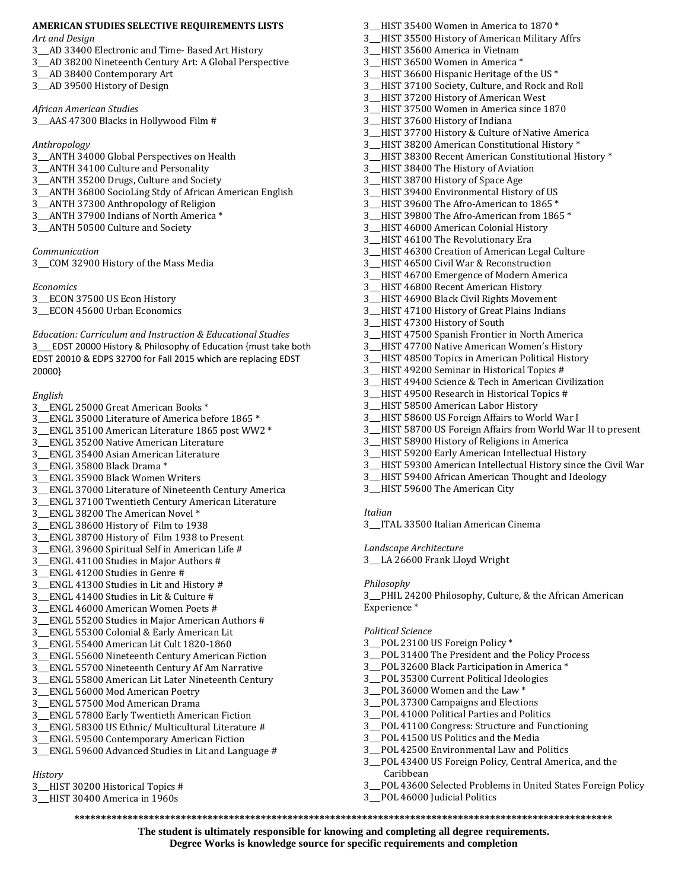# **AMERICAN STUDIES SELECTIVE REQUIREMENTS LISTS**

*Art and Design* 

- 3\_\_\_AD 33400 Electronic and Time- Based Art History
- 3\_\_\_AD 38200 Nineteenth Century Art: A Global Perspective
- 3\_\_\_AD 38400 Contemporary Art
- 3\_\_\_AD 39500 History of Design

#### *African American Studies*

3\_\_\_AAS 47300 Blacks in Hollywood Film #

#### *Anthropology*

- 3\_\_\_ANTH 34000 Global Perspectives on Health
- 3\_\_\_ANTH 34100 Culture and Personality
- 3\_\_\_ANTH 35200 Drugs, Culture and Society
- 3\_\_\_ANTH 36800 SocioLing Stdy of African American English
- 3\_\_\_ANTH 37300 Anthropology of Religion
- 3 ANTH 37900 Indians of North America \*
- 3\_\_\_ANTH 50500 Culture and Society

#### *Communication*

3\_\_\_COM 32900 History of the Mass Media

*Economics* 

3\_\_\_ECON 37500 US Econ History

3\_\_\_ECON 45600 Urban Economics

*Education: Curriculum and Instruction & Educational Studies*  3\_\_\_EDST 20000 History & Philosophy of Education {must take both EDST 20010 & EDPS 32700 for Fall 2015 which are replacing EDST 20000}

#### *English*

- 3\_\_\_ENGL 25000 Great American Books \*
- 3\_\_\_ENGL 35000 Literature of America before 1865 \*
- 3\_\_\_ENGL 35100 American Literature 1865 post WW2 \*
- 3\_\_\_ENGL 35200 Native American Literature
- 3\_\_\_ENGL 35400 Asian American Literature
- 3 ENGL 35800 Black Drama \*
- 3\_\_\_ENGL 35900 Black Women Writers
- 3\_\_\_ENGL 37000 Literature of Nineteenth Century America
- 3\_\_\_ENGL 37100 Twentieth Century American Literature
- 3\_\_\_ENGL 38200 The American Novel \*
- 3\_\_\_ENGL 38600 History of Film to 1938
- 3\_\_\_ENGL 38700 History of Film 1938 to Present
- 3\_\_\_ENGL 39600 Spiritual Self in American Life #
- 3\_\_\_ENGL 41100 Studies in Major Authors #
- 3\_\_\_ENGL 41200 Studies in Genre #
- 3\_\_\_ENGL 41300 Studies in Lit and History #
- 3\_\_\_ENGL 41400 Studies in Lit & Culture #
- 3\_\_\_ENGL 46000 American Women Poets #
- 3\_\_\_ENGL 55200 Studies in Major American Authors #
- 3\_\_\_ENGL 55300 Colonial & Early American Lit
- 3\_\_\_ENGL 55400 American Lit Cult 1820-1860
- 3\_\_\_ENGL 55600 Nineteenth Century American Fiction
- 3\_\_\_ENGL 55700 Nineteenth Century Af Am Narrative
- 3\_\_\_ENGL 55800 American Lit Later Nineteenth Century
- 3\_\_\_ENGL 56000 Mod American Poetry
- 3\_\_\_ENGL 57500 Mod American Drama
- 3\_\_\_ENGL 57800 Early Twentieth American Fiction
- 3\_\_\_ENGL 58300 US Ethnic/ Multicultural Literature #
- 3\_\_\_ENGL 59500 Contemporary American Fiction
- 3\_\_\_ENGL 59600 Advanced Studies in Lit and Language #

## *History*

- 3\_\_\_HIST 30200 Historical Topics #
- 3\_\_\_HIST 30400 America in 1960s
- 3\_\_\_HIST 35400 Women in America to 1870 \*
- 3\_\_\_HIST 35500 History of American Military Affrs
- 3\_\_\_HIST 35600 America in Vietnam
- 3 HIST 36500 Women in America \*
- 3\_\_\_HIST 36600 Hispanic Heritage of the US \*
- 3\_\_\_HIST 37100 Society, Culture, and Rock and Roll
- 3\_\_\_HIST 37200 History of American West
- 3\_\_\_HIST 37500 Women in America since 1870
- 3\_\_\_HIST 37600 History of Indiana
- 3\_\_\_HIST 37700 History & Culture of Native America
- 3\_\_\_HIST 38200 American Constitutional History \*
- 3\_\_\_HIST 38300 Recent American Constitutional History \*
- 3\_\_\_HIST 38400 The History of Aviation
- 3\_\_\_HIST 38700 History of Space Age
- 3\_\_\_HIST 39400 Environmental History of US 3 HIST 39600 The Afro-American to 1865 \*
- 3 HIST 39800 The Afro-American from 1865 \*
- 
- 3\_\_\_HIST 46000 American Colonial History
- 3\_\_\_HIST 46100 The Revolutionary Era
- 3\_\_\_HIST 46300 Creation of American Legal Culture
- 3\_\_\_HIST 46500 Civil War & Reconstruction
- 3\_\_\_HIST 46700 Emergence of Modern America
- 3\_\_\_HIST 46800 Recent American History
- 3\_\_\_HIST 46900 Black Civil Rights Movement
- 3\_\_\_HIST 47100 History of Great Plains Indians
- 3\_\_\_HIST 47300 History of South
- 3\_\_\_HIST 47500 Spanish Frontier in North America
- 3\_\_\_HIST 47700 Native American Women's History
- 3\_\_\_HIST 48500 Topics in American Political History
- 3\_\_\_HIST 49200 Seminar in Historical Topics #
- 3\_\_\_HIST 49400 Science & Tech in American Civilization
- 3\_\_\_HIST 49500 Research in Historical Topics #
- 3\_\_\_HIST 58500 American Labor History
- 3\_\_\_HIST 58600 US Foreign Affairs to World War I
- 3\_\_\_HIST 58700 US Foreign Affairs from World War II to present
- 3\_\_\_HIST 58900 History of Religions in America
- 3\_\_\_HIST 59200 Early American Intellectual History
- 3\_\_\_HIST 59300 American Intellectual History since the Civil War
- 3\_\_\_HIST 59400 African American Thought and Ideology

3\_\_\_PHIL 24200 Philosophy, Culture, & the African American

3\_\_\_POL 31400 The President and the Policy Process 3\_\_\_POL 32600 Black Participation in America \* 3\_\_\_POL 35300 Current Political Ideologies 3\_\_\_POL 36000 Women and the Law \* 3\_\_\_POL 37300 Campaigns and Elections 3\_\_\_POL 41000 Political Parties and Politics

3\_\_\_POL 41100 Congress: Structure and Functioning

3\_\_\_POL 43400 US Foreign Policy, Central America, and the

3\_\_\_POL 43600 Selected Problems in United States Foreign Policy

3\_\_\_POL 41500 US Politics and the Media 3\_\_\_POL 42500 Environmental Law and Politics

3\_\_\_HIST 59600 The American City

#### *Italian*

*Philosophy* 

Experience \*

*Political Science* 

Caribbean

3\_\_\_POL 46000 Judicial Politics

**\*\*\*\*\*\*\*\*\*\*\*\*\*\*\*\*\*\*\*\*\*\*\*\*\*\*\*\*\*\*\*\*\*\*\*\*\*\*\*\*\*\*\*\*\*\*\*\*\*\*\*\*\*\*\*\*\*\*\*\*\*\*\*\*\*\*\*\*\*\*\*\*\*\*\*\*\*\*\*\*\*\*\*\*\*\*\*\*\*\*\*\*\*\*\*\*\*\*\*\*\* The student is ultimately responsible for knowing and completing all degree requirements. Degree Works is knowledge source for specific requirements and completion**

3\_\_\_ITAL 33500 Italian American Cinema

#### *Landscape Architecture*

3\_\_\_LA 26600 Frank Lloyd Wright

3\_\_\_POL 23100 US Foreign Policy \*